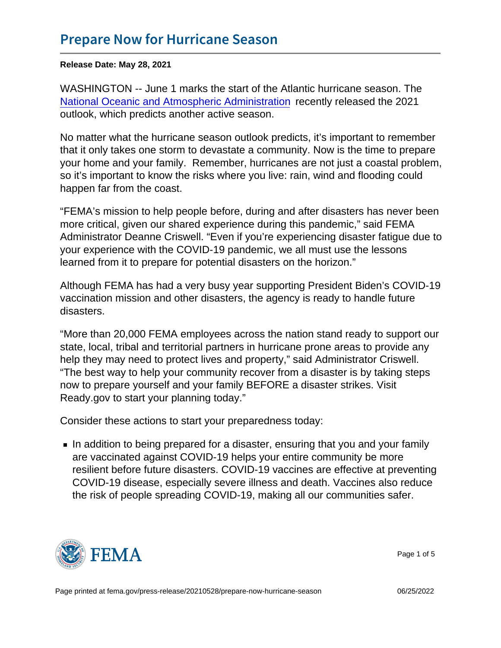Release Date: May 28, 2021

WASHINGTON -- June 1 marks the start of the Atlantic hurricane season. The [National Oceanic and Atmospheric Administration](https://www.noaa.gov/media-release/noaa-predicts-another-active-atlantic-hurricane-season) recently released the 2021 outlook, which predicts another active season.

No matter what the hurricane season outlook predicts, it's important to remember that it only takes one storm to devastate a community. Now is the time to prepare your home and your family. Remember, hurricanes are not just a coastal problem, so it's important to know the risks where you live: rain, wind and flooding could happen far from the coast.

"FEMA's mission to help people before, during and after disasters has never been more critical, given our shared experience during this pandemic," said FEMA Administrator Deanne Criswell. "Even if you're experiencing disaster fatigue due to your experience with the COVID-19 pandemic, we all must use the lessons learned from it to prepare for potential disasters on the horizon."

Although FEMA has had a very busy year supporting President Biden's COVID-19 vaccination mission and other disasters, the agency is ready to handle future disasters.

"More than 20,000 FEMA employees across the nation stand ready to support our state, local, tribal and territorial partners in hurricane prone areas to provide any help they may need to protect lives and property," said Administrator Criswell. "The best way to help your community recover from a disaster is by taking steps now to prepare yourself and your family BEFORE a disaster strikes. Visit Ready.gov to start your planning today."

Consider these actions to start your preparedness today:

In addition to being prepared for a disaster, ensuring that you and your family are vaccinated against COVID-19 helps your entire community be more resilient before future disasters. COVID-19 vaccines are effective at preventing COVID-19 disease, especially severe illness and death. Vaccines also reduce the risk of people spreading COVID-19, making all our communities safer.



Page 1 of 5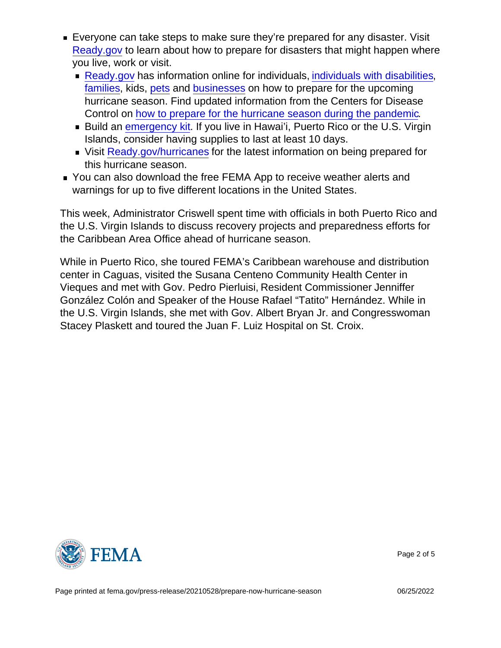- Everyone can take steps to make sure they're prepared for any disaster. Visit [Ready.gov](https://www.ready.gov/) to learn about how to prepare for disasters that might happen where you live, work or visit.
	- **[Ready.gov](https://www.ready.gov) has information online for individuals, [individuals with disabilities](https://www.ready.gov/disability),** [families,](https://www.ready.gov/plan) kids, [pets](https://www.ready.gov/pets) and [businesses](https://www.ready.gov/business-continuity-plan) on how to prepare for the upcoming hurricane season. Find updated information from the Centers for Disease Control on [how to prepare for the hurricane season during the pandemic.](https://www.cdc.gov/disasters/covid-19/disasters_severe_weather_and_covid-19.html)
	- **Build an [emergency kit](https://www.ready.gov/kit). If you live in Hawai'i, Puerto Rico or the U.S. Virgin** Islands, consider having supplies to last at least 10 days.
	- Visit [Ready.gov/hurricanes](https://www.ready.gov/hurricanes) for the latest information on being prepared for this hurricane season.
- You can also download the free FEMA App to receive weather alerts and warnings for up to five different locations in the United States.

This week, Administrator Criswell spent time with officials in both Puerto Rico and the U.S. Virgin Islands to discuss recovery projects and preparedness efforts for the Caribbean Area Office ahead of hurricane season.

While in Puerto Rico, she toured FEMA's Caribbean warehouse and distribution center in Caguas, visited the Susana Centeno Community Health Center in Vieques and met with Gov. Pedro Pierluisi, Resident Commissioner Jenniffer González Colón and Speaker of the House Rafael "Tatito" Hernández. While in the U.S. Virgin Islands, she met with Gov. Albert Bryan Jr. and Congresswoman Stacey Plaskett and toured the Juan F. Luiz Hospital on St. Croix.



Page 2 of 5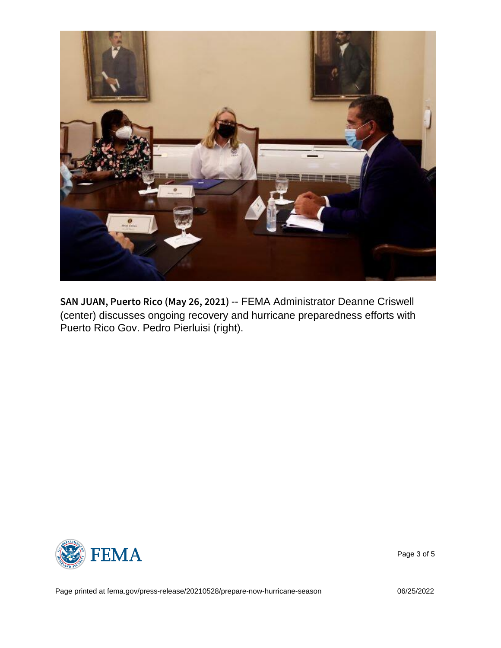SAN JUAN, Puerto Rico-FEMAAy Administration Deanne Criswell (center) discusses ongoing recovery and hurricane preparedness efforts with Puerto Rico Gov. Pedro Pierluisi (right).



Page 3 of 5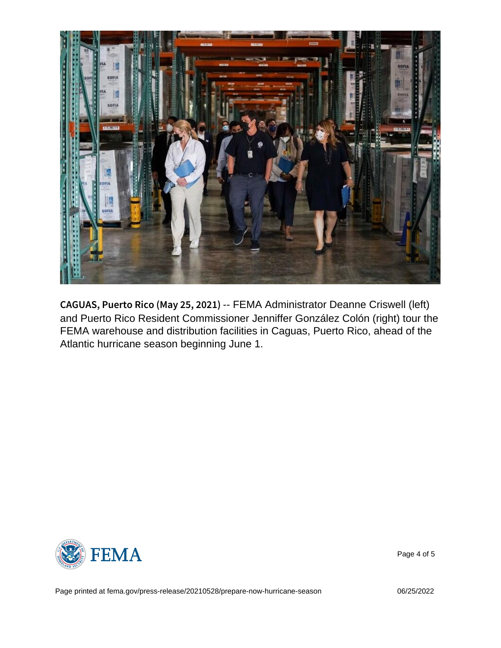CAGUAS, Puerto Rico-(FLEMA) Administrator Deanne Criswell (left) and Puerto Rico Resident Commissioner Jenniffer González Colón (right) tour the FEMA warehouse and distribution facilities in Caguas, Puerto Rico, ahead of the Atlantic hurricane season beginning June 1.



Page 4 of 5